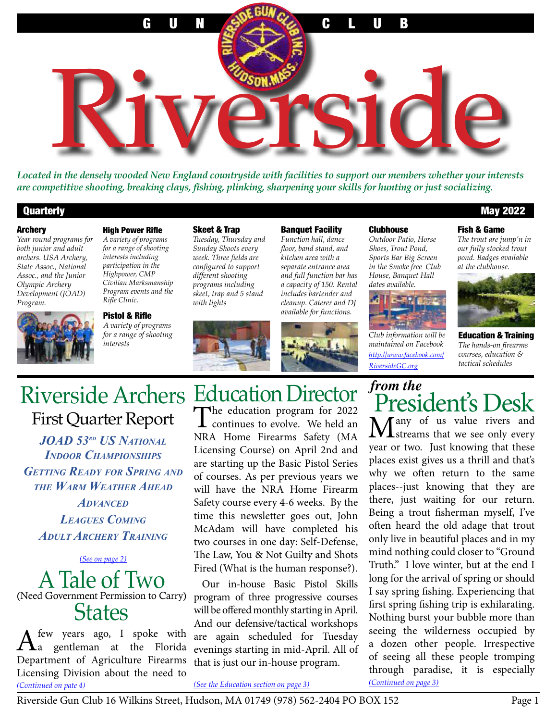

*Located in the densely wooded New England countryside with facilities to support our members whether your interests are competitive shooting, breaking clays, fishing, plinking, sharpening your skills for hunting or just socializing.*

#### Archery

*Year round programs for both junior and adult archers. USA Archery, State Assoc., National Assoc., and the Junior Olympic Archery Development (JOAD) Program.*



*for a range of shooting interests including participation in the Highpower, CMP Civilian Marksmanship Program events and the Rifle Clinic.* 

Pistol & Rifle *A variety of programs for a range of shooting interests*

#### Skeet & Trap

*Tuesday, Thursday and Sunday Shoots every week. Three fields are configured to support different shooting programs including skeet, trap and 5 stand with lights*



Banquet Facility *Function hall, dance floor, band stand, and kitchen area with a separate entrance area and full function bar has a capacity of 150. Rental includes bartender and cleanup. Caterer and DJ available for functions.* 

#### **Clubhouse**

*Outdoor Patio, Horse Shoes, Trout Pond, Sports Bar Big Screen in the Smoke free Club House, Banquet Hall dates available.*



*Club information will be maintained on Facebook http://www.facebook.com/ RiversideGC.org*

*from the*

#### Quarterly May 2022

#### Fish & Game

*The trout are jump'n in our fully stocked trout pond. Badges available at the clubhouse.*



Education & Training *The hands-on firearms courses, education & tactical schedules*

# Riverside Archers Education Director First Quarter Report

*JOAD 53rd US National Indoor Championships Getting Ready for Spring and the Warm Weather Ahead*

*Advanced Leagues Coming Adult Archery Training*

*(See on page 2)*

A Tale of Two (Need Government Permission to Carry) **States** 

A few years ago, I spoke with<br>a gentleman at the Florida Department of Agriculture Firearms Licensing Division about the need to *(See the Education section [on page](#page-2-0) 3) (Continued [on page](#page-2-1) 3) [\(Continued on pate 4\)](#page-3-0)*

The education program for 2022 **L** continues to evolve. We held an NRA Home Firearms Safety (MA Licensing Course) on April 2nd and are starting up the Basic Pistol Series of courses. As per previous years we will have the NRA Home Firearm Safety course every 4-6 weeks. By the time this newsletter goes out, John McAdam will have completed his two courses in one day: Self-Defense, The Law, You & Not Guilty and Shots Fired (What is the human response?).

Our in-house Basic Pistol Skills program of three progressive courses will be offered monthly starting in April. And our defensive/tactical workshops are again scheduled for Tuesday evenings starting in mid-April. All of that is just our in-house program.

Many of us value rivers and<br>
streams that we see only every year or two. Just knowing that these places exist gives us a thrill and that's why we often return to the same places--just knowing that they are there, just waiting for our return. Being a trout fisherman myself, I've often heard the old adage that trout only live in beautiful places and in my mind nothing could closer to "Ground Truth." I love winter, but at the end I long for the arrival of spring or should I say spring fishing. Experiencing that first spring fishing trip is exhilarating. Nothing burst your bubble more than seeing the wilderness occupied by a dozen other people. Irrespective of seeing all these people tromping through paradise, it is especially

President's Desk

Riverside Gun Club 16 Wilkins Street, Hudson, MA 01749 (978) 562-2404 PO BOX 152 Page 1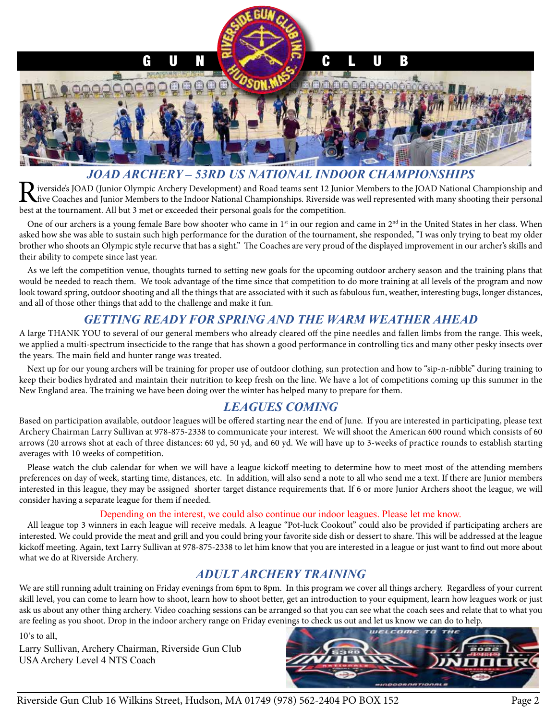

#### *JOAD ARCHERY – 53RD US NATIONAL INDOOR CHAMPIONSHIPS*

iverside's JOAD (Junior Olympic Archery Development) and Road teams sent 12 Junior Members to the JOAD National Championship and five Coaches and Junior Members to the Indoor National Championships. Riverside was well represented with many shooting their personal best at the tournament. All but 3 met or exceeded their personal goals for the competition.

One of our archers is a young female Bare bow shooter who came in  $1<sup>st</sup>$  in our region and came in  $2<sup>nd</sup>$  in the United States in her class. When asked how she was able to sustain such high performance for the duration of the tournament, she responded, "I was only trying to beat my older brother who shoots an Olympic style recurve that has a sight." The Coaches are very proud of the displayed improvement in our archer's skills and their ability to compete since last year.

As we left the competition venue, thoughts turned to setting new goals for the upcoming outdoor archery season and the training plans that would be needed to reach them. We took advantage of the time since that competition to do more training at all levels of the program and now look toward spring, outdoor shooting and all the things that are associated with it such as fabulous fun, weather, interesting bugs, longer distances, and all of those other things that add to the challenge and make it fun.

#### *GETTING READY FOR SPRING AND THE WARM WEATHER AHEAD*

A large THANK YOU to several of our general members who already cleared off the pine needles and fallen limbs from the range. This week, we applied a multi-spectrum insecticide to the range that has shown a good performance in controlling tics and many other pesky insects over the years. The main field and hunter range was treated.

Next up for our young archers will be training for proper use of outdoor clothing, sun protection and how to "sip-n-nibble" during training to keep their bodies hydrated and maintain their nutrition to keep fresh on the line. We have a lot of competitions coming up this summer in the New England area. The training we have been doing over the winter has helped many to prepare for them.

## *LEAGUES COMING*

Based on participation available, outdoor leagues will be offered starting near the end of June. If you are interested in participating, please text Archery Chairman Larry Sullivan at 978-875-2338 to communicate your interest. We will shoot the American 600 round which consists of 60 arrows (20 arrows shot at each of three distances: 60 yd, 50 yd, and 60 yd. We will have up to 3-weeks of practice rounds to establish starting averages with 10 weeks of competition.

Please watch the club calendar for when we will have a league kickoff meeting to determine how to meet most of the attending members preferences on day of week, starting time, distances, etc. In addition, will also send a note to all who send me a text. If there are Junior members interested in this league, they may be assigned shorter target distance requirements that. If 6 or more Junior Archers shoot the league, we will consider having a separate league for them if needed.

#### Depending on the interest, we could also continue our indoor leagues. Please let me know.

All league top 3 winners in each league will receive medals. A league "Pot-luck Cookout" could also be provided if participating archers are interested. We could provide the meat and grill and you could bring your favorite side dish or dessert to share. This will be addressed at the league kickoff meeting. Again, text Larry Sullivan at 978-875-2338 to let him know that you are interested in a league or just want to find out more about what we do at Riverside Archery.

## *ADULT ARCHERY TRAINING*

We are still running adult training on Friday evenings from 6pm to 8pm. In this program we cover all things archery. Regardless of your current skill level, you can come to learn how to shoot, learn how to shoot better, get an introduction to your equipment, learn how leagues work or just ask us about any other thing archery. Video coaching sessions can be arranged so that you can see what the coach sees and relate that to what you are feeling as you shoot. Drop in the indoor archery range on Friday evenings to check us out and let us know we can do to help.

10's to all,

Larry Sullivan, Archery Chairman, Riverside Gun Club USA Archery Level 4 NTS Coach

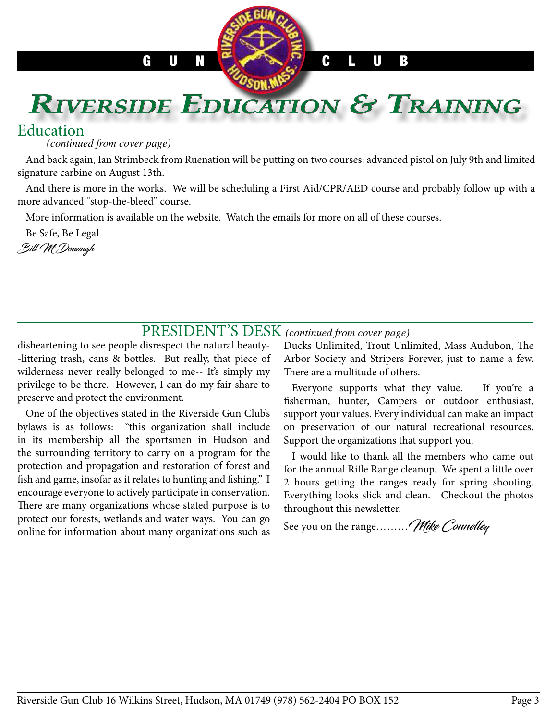# <span id="page-2-0"></span>**RIVERSIDE EDUCATION & TRAINING**

## Education

*(continued from cover page)*

And back again, Ian Strimbeck from Ruenation will be putting on two courses: advanced pistol on July 9th and limited signature carbine on August 13th.

And there is more in the works. We will be scheduling a First Aid/CPR/AED course and probably follow up with a more advanced "stop-the-bleed" course.

More information is available on the website. Watch the emails for more on all of these courses.

Be Safe, Be Legal Bill Mc Donough

# PRESIDENT'S DESK *(continued from cover page)*

disheartening to see people disrespect the natural beauty- -littering trash, cans & bottles. But really, that piece of wilderness never really belonged to me-- It's simply my privilege to be there. However, I can do my fair share to preserve and protect the environment.

One of the objectives stated in the Riverside Gun Club's bylaws is as follows: "this organization shall include in its membership all the sportsmen in Hudson and the surrounding territory to carry on a program for the protection and propagation and restoration of forest and fish and game, insofar as it relates to hunting and fishing." I encourage everyone to actively participate in conservation. There are many organizations whose stated purpose is to protect our forests, wetlands and water ways. You can go online for information about many organizations such as

<span id="page-2-1"></span>Ducks Unlimited, Trout Unlimited, Mass Audubon, The Arbor Society and Stripers Forever, just to name a few. There are a multitude of others.

Everyone supports what they value. If you're a fisherman, hunter, Campers or outdoor enthusiast, support your values. Every individual can make an impact on preservation of our natural recreational resources. Support the organizations that support you.

I would like to thank all the members who came out for the annual Rifle Range cleanup. We spent a little over 2 hours getting the ranges ready for spring shooting. Everything looks slick and clean. Checkout the photos throughout this newsletter.

See you on the range......... Mike Connelley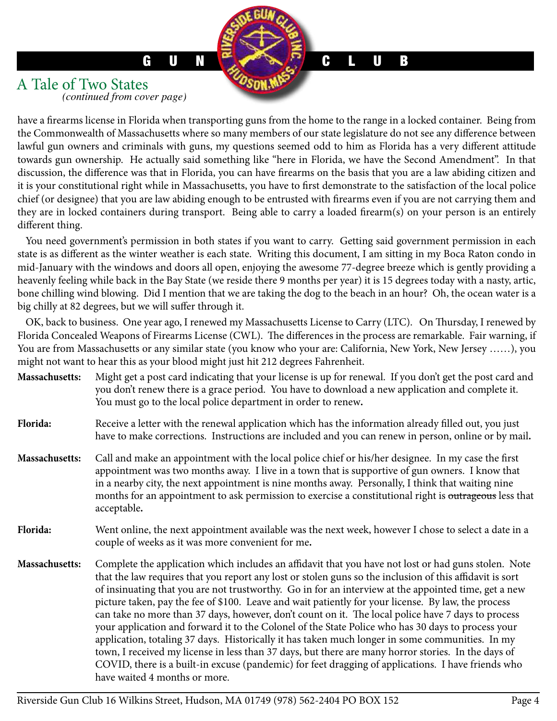#### <span id="page-3-0"></span>A Tale of Two States *(continued from cover page)*

have a firearms license in Florida when transporting guns from the home to the range in a locked container. Being from the Commonwealth of Massachusetts where so many members of our state legislature do not see any difference between lawful gun owners and criminals with guns, my questions seemed odd to him as Florida has a very different attitude towards gun ownership. He actually said something like "here in Florida, we have the Second Amendment". In that discussion, the difference was that in Florida, you can have firearms on the basis that you are a law abiding citizen and it is your constitutional right while in Massachusetts, you have to first demonstrate to the satisfaction of the local police chief (or designee) that you are law abiding enough to be entrusted with firearms even if you are not carrying them and they are in locked containers during transport. Being able to carry a loaded firearm(s) on your person is an entirely different thing.

You need government's permission in both states if you want to carry. Getting said government permission in each state is as different as the winter weather is each state. Writing this document, I am sitting in my Boca Raton condo in mid-January with the windows and doors all open, enjoying the awesome 77-degree breeze which is gently providing a heavenly feeling while back in the Bay State (we reside there 9 months per year) it is 15 degrees today with a nasty, artic, bone chilling wind blowing. Did I mention that we are taking the dog to the beach in an hour? Oh, the ocean water is a big chilly at 82 degrees, but we will suffer through it.

OK, back to business. One year ago, I renewed my Massachusetts License to Carry (LTC). On Thursday, I renewed by Florida Concealed Weapons of Firearms License (CWL). The differences in the process are remarkable. Fair warning, if You are from Massachusetts or any similar state (you know who your are: California, New York, New Jersey ……), you might not want to hear this as your blood might just hit 212 degrees Fahrenheit.

- **Massachusetts:** Might get a post card indicating that your license is up for renewal. If you don't get the post card and you don't renew there is a grace period. You have to download a new application and complete it. You must go to the local police department in order to renew**.**
- **Florida:** Receive a letter with the renewal application which has the information already filled out, you just have to make corrections. Instructions are included and you can renew in person, online or by mail**.**
- **Massachusetts:** Call and make an appointment with the local police chief or his/her designee. In my case the first appointment was two months away. I live in a town that is supportive of gun owners. I know that in a nearby city, the next appointment is nine months away. Personally, I think that waiting nine months for an appointment to ask permission to exercise a constitutional right is outrageous less that acceptable**.**
- **Florida:** Went online, the next appointment available was the next week, however I chose to select a date in a couple of weeks as it was more convenient for me**.**
- **Massachusetts:** Complete the application which includes an affidavit that you have not lost or had guns stolen. Note that the law requires that you report any lost or stolen guns so the inclusion of this affidavit is sort of insinuating that you are not trustworthy. Go in for an interview at the appointed time, get a new picture taken, pay the fee of \$100. Leave and wait patiently for your license. By law, the process can take no more than 37 days, however, don't count on it. The local police have 7 days to process your application and forward it to the Colonel of the State Police who has 30 days to process your application, totaling 37 days. Historically it has taken much longer in some communities. In my town, I received my license in less than 37 days, but there are many horror stories. In the days of COVID, there is a built-in excuse (pandemic) for feet dragging of applications. I have friends who have waited 4 months or more.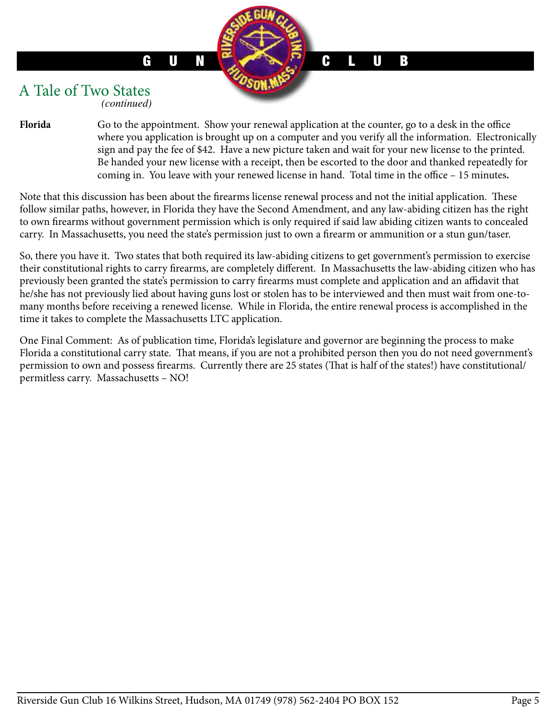#### A Tale of Two States *(continued)*

Florida Go to the appointment. Show your renewal application at the counter, go to a desk in the office where you application is brought up on a computer and you verify all the information. Electronically sign and pay the fee of \$42. Have a new picture taken and wait for your new license to the printed. Be handed your new license with a receipt, then be escorted to the door and thanked repeatedly for coming in. You leave with your renewed license in hand. Total time in the office – 15 minutes**.**

Note that this discussion has been about the firearms license renewal process and not the initial application. These follow similar paths, however, in Florida they have the Second Amendment, and any law-abiding citizen has the right to own firearms without government permission which is only required if said law abiding citizen wants to concealed carry. In Massachusetts, you need the state's permission just to own a firearm or ammunition or a stun gun/taser.

So, there you have it. Two states that both required its law-abiding citizens to get government's permission to exercise their constitutional rights to carry firearms, are completely different. In Massachusetts the law-abiding citizen who has previously been granted the state's permission to carry firearms must complete and application and an affidavit that he/she has not previously lied about having guns lost or stolen has to be interviewed and then must wait from one-tomany months before receiving a renewed license. While in Florida, the entire renewal process is accomplished in the time it takes to complete the Massachusetts LTC application.

One Final Comment: As of publication time, Florida's legislature and governor are beginning the process to make Florida a constitutional carry state. That means, if you are not a prohibited person then you do not need government's permission to own and possess firearms. Currently there are 25 states (That is half of the states!) have constitutional/ permitless carry. Massachusetts – NO!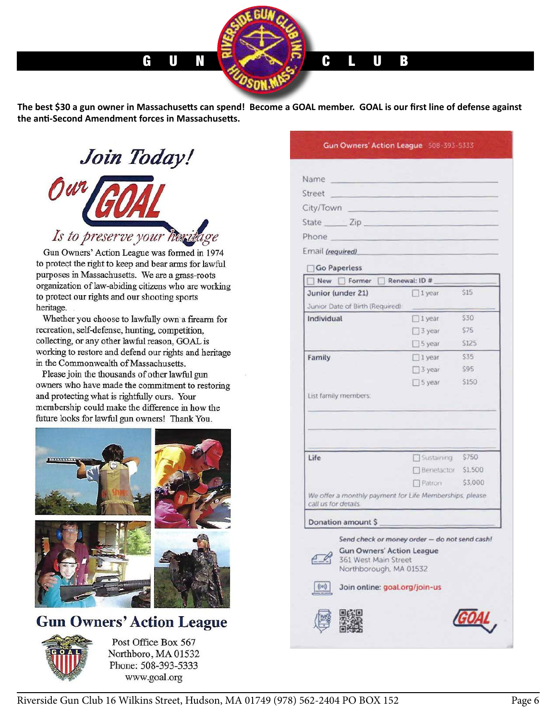**The best \$30 a gun owner in Massachusetts can spend! Become a GOAL member. GOAL is our first line of defense against the anti-Second Amendment forces in Massachusetts.**

Join Today! Is to preserve your here

Gun Owners' Action League was formed in 1974 to protect the right to keep and bear arms for lawful purposes in Massachusetts. We are a grass-roots organization of law-abiding citizens who are working to protect our rights and our shooting sports heritage.

Whether you choose to lawfully own a firearm for recreation, self-defense, hunting, competition, collecting, or any other lawful reason, GOAL is working to restore and defend our rights and heritage in the Commonwealth of Massachusetts.

Please join the thousands of other lawful gun owners who have made the commitment to restoring and protecting what is rightfully ours. Your membership could make the difference in how the future looks for lawful gun owners! Thank You.



## **Gun Owners' Action League**



Post Office Box 567 Northboro, MA 01532 Phone: 508-393-5333 www.goal.org

| Name             |  |  |  |
|------------------|--|--|--|
| Street           |  |  |  |
| City/Town        |  |  |  |
| State ______ Zip |  |  |  |
| Phone            |  |  |  |
| Email (required) |  |  |  |

Gun Owners' Action League 508-393-5333

Go Paperless

| Junior (under 21)                                                                  | $1$ year                                      | \$15    |  |  |  |
|------------------------------------------------------------------------------------|-----------------------------------------------|---------|--|--|--|
| Junior Date of Birth (Required):                                                   |                                               |         |  |  |  |
| Individual                                                                         | $\Box$ 1 year                                 | \$30    |  |  |  |
|                                                                                    | 3 year                                        | S75     |  |  |  |
|                                                                                    | S year                                        | S125    |  |  |  |
| Family                                                                             | $\Box$ 1 year                                 | \$35    |  |  |  |
|                                                                                    | $\Box$ 3 year                                 | S95     |  |  |  |
|                                                                                    | $\Box$ 5 year                                 | \$150   |  |  |  |
| List family members:                                                               |                                               |         |  |  |  |
|                                                                                    |                                               |         |  |  |  |
| Life                                                                               |                                               | \$750   |  |  |  |
|                                                                                    | Sustaining<br>Benefactor                      | \$1,500 |  |  |  |
|                                                                                    | <b>T</b> Patron                               | \$3,000 |  |  |  |
|                                                                                    |                                               |         |  |  |  |
| We offer a monthly payment for Life Memberships, please<br>call us for details.    |                                               |         |  |  |  |
| Donation amount \$                                                                 |                                               |         |  |  |  |
|                                                                                    | Send check or money order - do not send cash! |         |  |  |  |
| <b>Gun Owners' Action League</b><br>361 West Main Street<br>Northborough, MA 01532 |                                               |         |  |  |  |
| ((0))<br>Join online: goal.org/join-us                                             |                                               |         |  |  |  |
|                                                                                    |                                               |         |  |  |  |